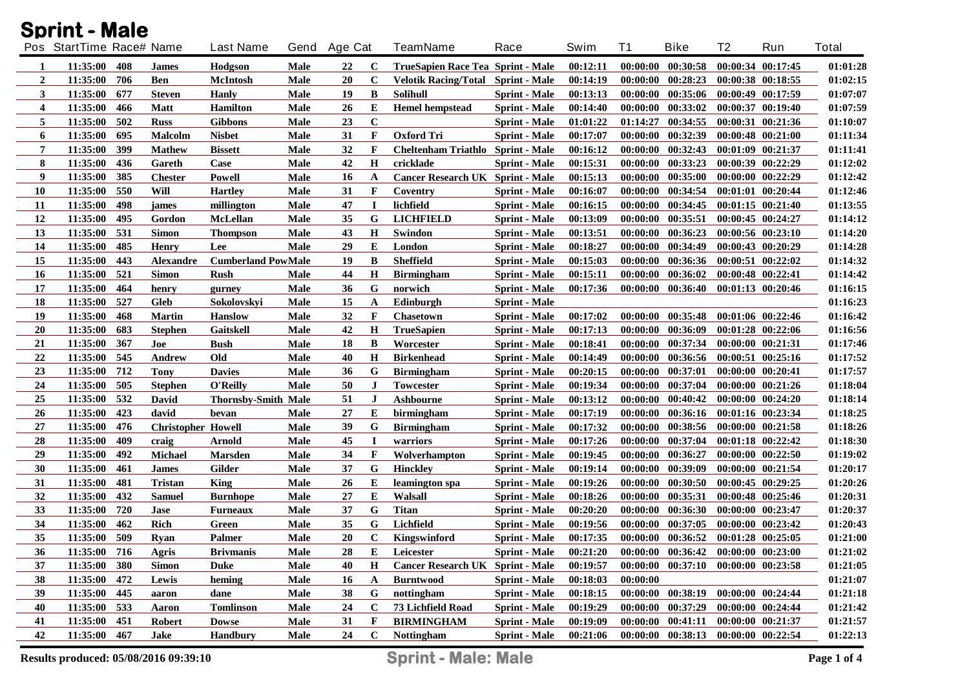|                         | <b>Sprint - Male</b>     |     |                           |                            |             |                |             |                                           |                      |          |           |                                     |                       |                       |              |
|-------------------------|--------------------------|-----|---------------------------|----------------------------|-------------|----------------|-------------|-------------------------------------------|----------------------|----------|-----------|-------------------------------------|-----------------------|-----------------------|--------------|
|                         | Pos StartTime Race# Name |     |                           | <b>Last Name</b>           | Gend        | <b>Age Cat</b> |             | <b>TeamName</b>                           | Race                 | Swim     | <b>T1</b> | <b>Bike</b>                         | T <sub>2</sub>        | Run                   | <b>Total</b> |
| -1                      | 11:35:00                 | 408 | <b>James</b>              | Hodgson                    | Male        | 22             | $\mathbf c$ | TrueSapien Race Tea Sprint - Male         |                      | 00:12:11 |           | $00:00:00$ $00:30:58$               |                       | 00:00:34 00:17:45     | 01:01:28     |
| $\overline{2}$          | 11:35:00                 | 706 | <b>Ben</b>                | <b>McIntosh</b>            | Male        | 20             | $\mathbf c$ | <b>Velotik Racing/Total Sprint - Male</b> |                      | 00:14:19 |           | 00:00:00 00:28:23                   |                       | 00:00:38 00:18:55     | 01:02:15     |
| 3                       | 11:35:00                 | 677 | <b>Steven</b>             | <b>Hanly</b>               | Male        | 19             | B           | <b>Solihull</b>                           | <b>Sprint</b> - Male | 00:13:13 |           | 00:00:00 00:35:06                   |                       | 00:00:49 00:17:59     | 01:07:07     |
| $\overline{\mathbf{4}}$ | 11:35:00                 | 466 | <b>Matt</b>               | <b>Hamilton</b>            | Male        | 26             | Е           | <b>Hemel hempstead</b>                    | <b>Sprint</b> - Male | 00:14:40 |           | $00:00:00$ $00:33:02$               |                       | 00:00:37 00:19:40     | 01:07:59     |
| 5                       | 11:35:00                 | 502 | <b>Russ</b>               | <b>Gibbons</b>             | Male        | 23             | $\mathbf C$ |                                           | <b>Sprint</b> - Male | 01:01:22 | 01:14:27  | 00:34:55                            |                       | 00:00:31 00:21:36     | 01:10:07     |
| 6                       | 11:35:00                 | 695 | Malcolm                   | <b>Nisbet</b>              | Male        | 31             | F           | <b>Oxford Tri</b>                         | <b>Sprint</b> - Male | 00:17:07 |           | 00:00:00 00:32:39                   |                       | 00:00:48 00:21:00     | 01:11:34     |
| 7                       | 11:35:00                 | 399 | <b>Mathew</b>             | <b>Bissett</b>             | Male        | 32             | F           | Cheltenham Triathlo Sprint - Male         |                      | 00:16:12 |           | 00:00:00 00:32:43                   | 00:01:09 00:21:37     |                       | 01:11:41     |
| 8                       | 11:35:00                 | 436 | Gareth                    | Case                       | Male        | 42             | Н           | cricklade                                 | <b>Sprint</b> - Male | 00:15:31 |           | 00:00:00 00:33:23                   | 00:00:39 00:22:29     |                       | 01:12:02     |
| 9                       | 11:35:00                 | 385 | <b>Chester</b>            | Powell                     | Male        | 16             | A           | Cancer Research UK Sprint - Male          |                      | 00:15:13 |           | 00:00:00 00:35:00                   |                       | 00:00:00 00:22:29     | 01:12:42     |
| 10                      | 11:35:00                 | 550 | Will                      | <b>Hartley</b>             | Male        | 31             | F           | Coventry                                  | <b>Sprint - Male</b> | 00:16:07 |           | 00:00:00 00:34:54                   |                       | 00:01:01 00:20:44     | 01:12:46     |
| 11                      | 11:35:00                 | 498 | james                     | millington                 | <b>Male</b> | 47             | П           | lichfield                                 | <b>Sprint - Male</b> | 00:16:15 |           | 00:00:00 00:34:45                   |                       | $00:01:15$ $00:21:40$ | 01:13:55     |
| 12                      | 11:35:00                 | 495 | Gordon                    | <b>McLellan</b>            | Male        | 35             | G           | <b>LICHFIELD</b>                          | <b>Sprint - Male</b> | 00:13:09 |           | $00:00:00$ $00:35:51$               |                       | 00:00:45 00:24:27     | 01:14:12     |
| 13                      | 11:35:00                 | 531 | <b>Simon</b>              | <b>Thompson</b>            | Male        | 43             | $\bf H$     | Swindon                                   | <b>Sprint - Male</b> | 00:13:51 |           | 00:00:00 00:36:23                   |                       | 00:00:56 00:23:10     | 01:14:20     |
| 14                      | 11:35:00                 | 485 | <b>Henry</b>              | Lee                        | Male        | 29             | Е           | London                                    | <b>Sprint - Male</b> | 00:18:27 |           | 00:00:00 00:34:49                   |                       | 00:00:43 00:20:29     | 01:14:28     |
| 15                      | 11:35:00                 | 443 | <b>Alexandre</b>          | <b>Cumberland PowMale</b>  |             | 19             | B           | Sheffield                                 | <b>Sprint - Male</b> | 00:15:03 |           | 00:00:00 00:36:36                   |                       | 00:00:51 00:22:02     | 01:14:32     |
| 16                      | 11:35:00                 | 521 | <b>Simon</b>              | <b>Rush</b>                | Male        | 44             | H           | <b>Birmingham</b>                         | <b>Sprint</b> - Male | 00:15:11 |           | 00:00:00 00:36:02                   |                       | 00:00:48 00:22:41     | 01:14:42     |
| 17                      | 11:35:00                 | 464 | henry                     | gurney                     | Male        | 36             | G           | norwich                                   | <b>Sprint - Male</b> | 00:17:36 |           | 00:00:00 00:36:40                   |                       | 00:01:13 00:20:46     | 01:16:15     |
| 18                      | 11:35:00                 | 527 | <b>Gleb</b>               | Sokolovskyi                | Male        | 15             | A           | Edinburgh                                 | <b>Sprint</b> - Male |          |           |                                     |                       |                       | 01:16:23     |
| 19                      | 11:35:00                 | 468 | <b>Martin</b>             | <b>Hanslow</b>             | Male        | 32             | F           | <b>Chasetown</b>                          | Sprint - Male        | 00:17:02 |           | 00:00:00 00:35:48                   |                       | 00:01:06 00:22:46     | 01:16:42     |
| 20                      | 11:35:00                 | 683 | <b>Stephen</b>            | Gaitskell                  | Male        | 42             | $\bf H$     | <b>TrueSapien</b>                         | <b>Sprint</b> - Male | 00:17:13 |           | 00:00:00 00:36:09                   |                       | 00:01:28 00:22:06     | 01:16:56     |
| 21                      | 11:35:00                 | 367 | Joe                       | <b>Bush</b>                | Male        | 18             | B           | Worcester                                 | <b>Sprint - Male</b> | 00:18:41 |           | 00:00:00 00:37:34                   |                       | 00:00:00 00:21:31     | 01:17:46     |
| 22                      | 11:35:00                 | 545 | Andrew                    | Old                        | Male        | 40             | $\bf H$     | <b>Birkenhead</b>                         | <b>Sprint</b> - Male | 00:14:49 |           | 00:00:00 00:36:56                   |                       | 00:00:51 00:25:16     | 01:17:52     |
| 23                      | 11:35:00                 | 712 | Tony                      | <b>Davies</b>              | Male        | 36             | G           | <b>Birmingham</b>                         | <b>Sprint</b> - Male | 00:20:15 | 00:00:00  | 00:37:01                            |                       | 00:00:00 00:20:41     | 01:17:57     |
| 24                      | 11:35:00                 | 505 | <b>Stephen</b>            | O'Reilly                   | Male        | 50             | J           | Towcester                                 | <b>Sprint</b> - Male | 00:19:34 | 00:00:00  | 00:37:04                            |                       | 00:00:00 00:21:26     | 01:18:04     |
| 25                      | 11:35:00                 | 532 | David                     | <b>Thornsby-Smith Male</b> |             | 51             | $\bf J$     | Ashbourne                                 | Sprint - Male        | 00:13:12 | 00:00:00  | 00:40:42                            |                       | 00:00:00 00:24:20     | 01:18:14     |
| 26                      | 11:35:00                 | 423 | david                     | bevan                      | Male        | 27             | Е           | birmingham                                | <b>Sprint</b> - Male | 00:17:19 |           | 00:00:00 00:36:16                   |                       | 00:01:16 00:23:34     | 01:18:25     |
| 27                      | 11:35:00                 | 476 | <b>Christopher Howell</b> |                            | Male        | 39             | G           | <b>Birmingham</b>                         | <b>Sprint</b> - Male | 00:17:32 | 00:00:00  | 00:38:56                            |                       | 00:00:00 00:21:58     | 01:18:26     |
| 28                      | 11:35:00                 | 409 | craig                     | Arnold                     | Male        | 45             | $\bf{I}$    | warriors                                  | <b>Sprint - Male</b> | 00:17:26 | 00:00:00  | 00:37:04                            |                       | 00:01:18 00:22:42     | 01:18:30     |
| 29                      | 11:35:00                 | 492 | <b>Michael</b>            | <b>Marsden</b>             | Male        | 34             | F           | Wolverhampton                             | <b>Sprint</b> - Male | 00:19:45 | 00:00:00  | 00:36:27                            |                       | 00:00:00 00:22:50     | 01:19:02     |
| 30                      | 11:35:00                 | 461 | <b>James</b>              | Gilder                     | Male        | 37             | G           | <b>Hinckley</b>                           | <b>Sprint</b> - Male | 00:19:14 | 00:00:00  | 00:39:09                            |                       | 00:00:00 00:21:54     | 01:20:17     |
| 31                      | 11:35:00                 | 481 | Tristan                   | King                       | Male        | 26             | E           | leamington spa                            | <b>Sprint</b> - Male | 00:19:26 | 00:00:00  | 00:30:50                            |                       | 00:00:45 00:29:25     | 01:20:26     |
| 32                      | 11:35:00                 | 432 | <b>Samuel</b>             | <b>Burnhope</b>            | Male        | 27             | E           | Walsall                                   | <b>Sprint</b> - Male | 00:18:26 | 00:00:00  | 00:35:31                            |                       | 00:00:48 00:25:46     | 01:20:31     |
| 33                      | 11:35:00                 | 720 | Jase                      | <b>Furneaux</b>            | Male        | 37             | G           | <b>Titan</b>                              | <b>Sprint</b> - Male | 00:20:20 | 00:00:00  | 00:36:30                            |                       | 00:00:00 00:23:47     | 01:20:37     |
| 34                      | 11:35:00                 | 462 | Rich                      | Green                      | Male        | 35             | G           | Lichfield                                 | <b>Sprint</b> - Male | 00:19:56 |           | $00:00:00$ $00:37:05$               |                       | 00:00:00 00:23:42     | 01:20:43     |
| 35                      | 11:35:00 509             |     | <b>Ryan</b>               | <b>Palmer</b>              | <b>Male</b> | 20             | $\mathbf C$ | Kingswinford                              | <b>Sprint - Male</b> | 00:17:35 |           | $00:00:00$ $00:36:52$               | 00:01:28 00:25:05     |                       | 01:21:00     |
| 36                      | 11:35:00                 | 716 | Agris                     | <b>Brivmanis</b>           | Male        | 28             | Е           | Leicester                                 | <b>Sprint - Male</b> | 00:21:20 |           | $00:00:00$ $00:36:42$               |                       | 00:00:00 00:23:00     | 01:21:02     |
| 37                      | 11:35:00                 | 380 | <b>Simon</b>              | <b>Duke</b>                | Male        | 40             | H           | <b>Cancer Research UK Sprint - Male</b>   |                      | 00:19:57 |           | $00:00:00$ $00:37:10$               | $00:00:00$ $00:23:58$ |                       | 01:21:05     |
| 38                      | 11:35:00                 | 472 | Lewis                     | heming                     | Male        | 16             | A           | <b>Burntwood</b>                          | <b>Sprint - Male</b> | 00:18:03 | 00:00:00  |                                     |                       |                       | 01:21:07     |
| 39                      | 11:35:00                 | 445 | aaron                     | dane                       | Male        | 38             | G           | nottingham                                | <b>Sprint - Male</b> | 00:18:15 |           | 00:00:00 00:38:19                   |                       | 00:00:00 00:24:44     | 01:21:18     |
| 40                      | 11:35:00                 | 533 | Aaron                     | <b>Tomlinson</b>           | Male        | 24             | $\mathbf C$ | 73 Lichfield Road                         | <b>Sprint</b> - Male | 00:19:29 |           | 00:00:00 00:37:29                   |                       | 00:00:00 00:24:44     | 01:21:42     |
| 41                      | 11:35:00                 | 451 | Robert                    | <b>Dowse</b>               | Male        | 31             | F           | <b>BIRMINGHAM</b>                         | <b>Sprint - Male</b> | 00:19:09 |           | $00:00:00$ $00:41:11$               |                       | 00:00:00 00:21:37     | 01:21:57     |
| 42                      | 11:35:00 467             |     | Jake                      | Handbury                   | Male        | 24             | $\mathbf C$ | <b>Nottingham</b>                         | <b>Sprint - Male</b> | 00:21:06 |           | 00:00:00 00:38:13 00:00:00 00:22:54 |                       |                       | 01:22:13     |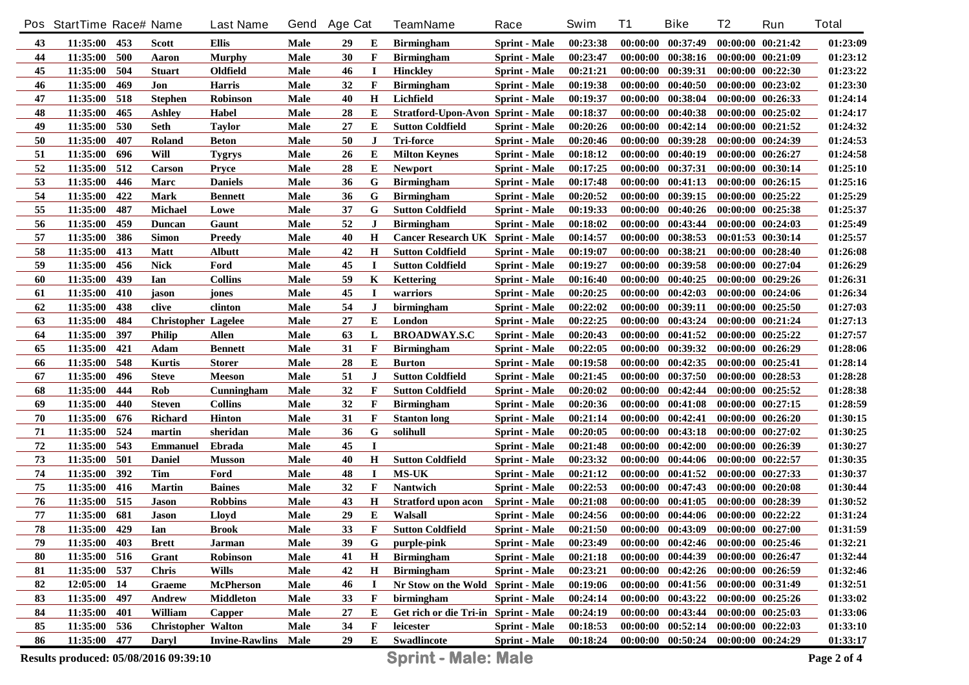|    | Pos StartTime Race# Name |     |                            | <b>Last Name</b>      |      | Gend Age Cat |             | <b>TeamName</b>                         | Race                 | Swim     | <b>T1</b> | <b>Bike</b>           | T <sub>2</sub>        | Run               | <b>Total</b> |
|----|--------------------------|-----|----------------------------|-----------------------|------|--------------|-------------|-----------------------------------------|----------------------|----------|-----------|-----------------------|-----------------------|-------------------|--------------|
| 43 | 11:35:00 453             |     | <b>Scott</b>               | Ellis                 | Male | 29           | E           | <b>Birmingham</b>                       | <b>Sprint</b> - Male | 00:23:38 |           | $00:00:00$ $00:37:49$ | 00:00:00 00:21:42     |                   | 01:23:09     |
| 44 | 11:35:00                 | 500 | Aaron                      | <b>Murphy</b>         | Male | 30           | F           | <b>Birmingham</b>                       | <b>Sprint</b> - Male | 00:23:47 |           | $00:00:00$ $00:38:16$ | 00:00:00 00:21:09     |                   | 01:23:12     |
| 45 | 11:35:00                 | 504 | <b>Stuart</b>              | Oldfield              | Male | 46           | $\bf{I}$    | <b>Hinckley</b>                         | <b>Sprint</b> - Male | 00:21:21 |           | $00:00:00$ $00:39:31$ | $00:00:00$ $00:22:30$ |                   | 01:23:22     |
| 46 | 11:35:00                 | 469 | Jon                        | <b>Harris</b>         | Male | 32           | F           | <b>Birmingham</b>                       | <b>Sprint</b> - Male | 00:19:38 |           | $00:00:00$ $00:40:50$ | $00:00:00$ $00:23:02$ |                   | 01:23:30     |
| 47 | 11:35:00                 | 518 | <b>Stephen</b>             | Robinson              | Male | 40           | $\mathbf H$ | Lichfield                               | <b>Sprint</b> - Male | 00:19:37 |           | 00:00:00 00:38:04     | 00:00:00 00:26:33     |                   | 01:24:14     |
| 48 | 11:35:00                 | 465 | <b>Ashley</b>              | Habel                 | Male | 28           | E           | Stratford-Upon-Avon Sprint - Male       |                      | 00:18:37 |           | $00:00:00$ $00:40:38$ | $00:00:00$ $00:25:02$ |                   | 01:24:17     |
| 49 | 11:35:00                 | 530 | <b>Seth</b>                | <b>Taylor</b>         | Male | 27           | Е           | <b>Sutton Coldfield</b>                 | <b>Sprint</b> - Male | 00:20:26 |           | $00:00:00$ $00:42:14$ | $00:00:00$ $00:21:52$ |                   | 01:24:32     |
| 50 | 11:35:00                 | 407 | Roland                     | <b>Beton</b>          | Male | 50           | $\bf J$     | <b>Tri-force</b>                        | <b>Sprint - Male</b> | 00:20:46 |           | $00:00:00$ $00:39:28$ | 00:00:00 00:24:39     |                   | 01:24:53     |
| 51 | 11:35:00                 | 696 | Will                       | <b>Tygrys</b>         | Male | 26           | E           | <b>Milton Keynes</b>                    | <b>Sprint</b> - Male | 00:18:12 |           | $00:00:00$ $00:40:19$ | 00:00:00 00:26:27     |                   | 01:24:58     |
| 52 | 11:35:00                 | 512 | Carson                     | <b>Pryce</b>          | Male | 28           | Е           | <b>Newport</b>                          | <b>Sprint</b> - Male | 00:17:25 |           | 00:00:00 00:37:31     | 00:00:00 00:30:14     |                   | 01:25:10     |
| 53 | 11:35:00                 | 446 | Marc                       | <b>Daniels</b>        | Male | 36           | G           | <b>Birmingham</b>                       | <b>Sprint</b> - Male | 00:17:48 |           | $00:00:00$ $00:41:13$ | 00:00:00 00:26:15     |                   | 01:25:16     |
| 54 | 11:35:00                 | 422 | <b>Mark</b>                | <b>Bennett</b>        | Male | 36           | G           | <b>Birmingham</b>                       | <b>Sprint</b> - Male | 00:20:52 |           | 00:00:00 00:39:15     | $00:00:00$ $00:25:22$ |                   | 01:25:29     |
| 55 | 11:35:00                 | 487 | Michael                    | Lowe                  | Male | 37           | G           | <b>Sutton Coldfield</b>                 | <b>Sprint</b> - Male | 00:19:33 |           | $00:00:00$ $00:40:26$ | 00:00:00 00:25:38     |                   | 01:25:37     |
| 56 | 11:35:00                 | 459 | <b>Duncan</b>              | Gaunt                 | Male | 52           | $\bf J$     | <b>Birmingham</b>                       | <b>Sprint</b> - Male | 00:18:02 |           | 00:00:00 00:43:44     | 00:00:00 00:24:03     |                   | 01:25:49     |
| 57 | 11:35:00                 | 386 | <b>Simon</b>               | <b>Preedy</b>         | Male | 40           | $\mathbf H$ | <b>Cancer Research UK Sprint - Male</b> |                      | 00:14:57 |           | $00:00:00$ $00:38:53$ | 00:01:53 00:30:14     |                   | 01:25:57     |
| 58 | 11:35:00                 | 413 | <b>Matt</b>                | Albutt                | Male | 42           | $\mathbf H$ | <b>Sutton Coldfield</b>                 | <b>Sprint - Male</b> | 00:19:07 |           | 00:00:00 00:38:21     | 00:00:00 00:28:40     |                   | 01:26:08     |
| 59 | 11:35:00                 | 456 | <b>Nick</b>                | Ford                  | Male | 45           | $\bf{I}$    | <b>Sutton Coldfield</b>                 | <b>Sprint</b> - Male | 00:19:27 |           | 00:00:00 00:39:58     | 00:00:00 00:27:04     |                   | 01:26:29     |
| 60 | 11:35:00                 | 439 | Ian                        | <b>Collins</b>        | Male | 59           | K           | <b>Kettering</b>                        | <b>Sprint - Male</b> | 00:16:40 |           | 00:00:00 00:40:25     | 00:00:00 00:29:26     |                   | 01:26:31     |
| 61 | 11:35:00                 | 410 | jason                      | jones                 | Male | 45           | $\bf{I}$    | warriors                                | <b>Sprint</b> - Male | 00:20:25 |           | 00:00:00 00:42:03     | 00:00:00 00:24:06     |                   | 01:26:34     |
| 62 | 11:35:00                 | 438 | clive                      | clinton               | Male | 54           | J           | birmingham                              | <b>Sprint - Male</b> | 00:22:02 |           | 00:00:00 00:39:11     | 00:00:00 00:25:50     |                   | 01:27:03     |
| 63 | 11:35:00                 | 484 | <b>Christopher Lagelee</b> |                       | Male | 27           | Е           | London                                  | <b>Sprint - Male</b> | 00:22:25 |           | 00:00:00 00:43:24     |                       | 00:00:00 00:21:24 | 01:27:13     |
| 64 | 11:35:00                 | 397 | <b>Philip</b>              | Allen                 | Male | 63           | L           | <b>BROADWAY.S.C</b>                     | <b>Sprint</b> - Male | 00:20:43 |           | $00:00:00$ $00:41:52$ | $00:00:00$ $00:25:22$ |                   | 01:27:57     |
| 65 | 11:35:00                 | 421 | Adam                       | <b>Bennett</b>        | Male | 31           | $\mathbf F$ | <b>Birmingham</b>                       | <b>Sprint - Male</b> | 00:22:05 |           | 00:00:00 00:39:32     |                       | 00:00:00 00:26:29 | 01:28:06     |
| 66 | 11:35:00                 | 548 | <b>Kurtis</b>              | <b>Storer</b>         | Male | 28           | $\bf E$     | <b>Burton</b>                           | <b>Sprint</b> - Male | 00:19:58 | 00:00:00  | 00:42:35              | 00:00:00 00:25:41     |                   | 01:28:14     |
| 67 | 11:35:00                 | 496 | <b>Steve</b>               | <b>Meeson</b>         | Male | 51           | J           | <b>Sutton Coldfield</b>                 | <b>Sprint</b> - Male | 00:21:45 | 00:00:00  | 00:37:50              |                       | 00:00:00 00:28:53 | 01:28:28     |
| 68 | 11:35:00                 | 444 | Rob                        | Cunningham            | Male | 32           | $\mathbf F$ | <b>Sutton Coldfield</b>                 | <b>Sprint - Male</b> | 00:20:02 | 00:00:00  | 00:42:44              |                       | 00:00:00 00:25:52 | 01:28:38     |
| 69 | 11:35:00                 | 440 | <b>Steven</b>              | <b>Collins</b>        | Male | 32           | $\mathbf F$ | <b>Birmingham</b>                       | <b>Sprint</b> - Male | 00:20:36 | 00:00:00  | 00:41:08              | 00:00:00 00:27:15     |                   | 01:28:59     |
| 70 | 11:35:00                 | 676 | <b>Richard</b>             | <b>Hinton</b>         | Male | 31           | $\mathbf F$ | <b>Stanton long</b>                     | <b>Sprint - Male</b> | 00:21:14 | 00:00:00  | 00:42:41              | 00:00:00 00:26:20     |                   | 01:30:15     |
| 71 | 11:35:00                 | 524 | martin                     | sheridan              | Male | 36           | G           | solihull                                | <b>Sprint</b> - Male | 00:20:05 | 00:00:00  | 00:43:18              | $00:00:00$ $00:27:02$ |                   | 01:30:25     |
| 72 | 11:35:00                 | 543 | <b>Emmanuel</b>            | <b>Ebrada</b>         | Male | 45           | $\bf I$     |                                         | <b>Sprint</b> - Male | 00:21:48 | 00:00:00  | 00:42:00              | 00:00:00 00:26:39     |                   | 01:30:27     |
| 73 | 11:35:00                 | 501 | <b>Daniel</b>              | <b>Musson</b>         | Male | 40           | H           | <b>Sutton Coldfield</b>                 | <b>Sprint - Male</b> | 00:23:32 |           | 00:00:00 00:44:06     | $00:00:00$ $00:22:57$ |                   | 01:30:35     |
| 74 | 11:35:00                 | 392 | Tim                        | Ford                  | Male | 48           | $\mathbf I$ | <b>MS-UK</b>                            | <b>Sprint - Male</b> | 00:21:12 |           | $00:00:00$ $00:41:52$ | 00:00:00 00:27:33     |                   | 01:30:37     |
| 75 | 11:35:00                 | 416 | <b>Martin</b>              | <b>Baines</b>         | Male | 32           | $\mathbf F$ | <b>Nantwich</b>                         | <b>Sprint</b> - Male | 00:22:53 |           | 00:00:00 00:47:43     | $00:00:00$ $00:20:08$ |                   | 01:30:44     |
| 76 | 11:35:00                 | 515 | Jason                      | <b>Robbins</b>        | Male | 43           | H           | <b>Stratford upon acon</b>              | <b>Sprint - Male</b> | 00:21:08 | 00:00:00  | 00:41:05              | 00:00:00 00:28:39     |                   | 01:30:52     |
| 77 | 11:35:00                 | 681 | Jason                      | Lloyd                 | Male | 29           | E           | Walsall                                 | <b>Sprint</b> - Male | 00:24:56 |           | $00:00:00$ $00:44:06$ | $00:00:00$ $00:22:22$ |                   | 01:31:24     |
| 78 | 11:35:00                 | 429 | Ian                        | Brook                 | Male | 33           | F           | <b>Sutton Coldfield</b>                 | <b>Sprint - Male</b> | 00:21:50 |           | $00:00:00$ $00:43:09$ | $00:00:00$ $00:27:00$ |                   | 01:31:59     |
| 79 | 11:35:00                 | 403 | <b>Brett</b>               | Jarman                | Male | 39           | G           | purple-pink                             | <b>Sprint</b> - Male | 00:23:49 |           | $00:00:00$ $00:42:46$ | $00:00:00$ $00:25:46$ |                   | 01:32:21     |
| 80 | 11:35:00                 | 516 | Grant                      | <b>Robinson</b>       | Male | 41           | $\mathbf H$ | <b>Birmingham</b>                       | <b>Sprint</b> - Male | 00:21:18 |           | $00:00:00$ $00:44:39$ | 00:00:00 00:26:47     |                   | 01:32:44     |
| 81 | 11:35:00 537             |     | <b>Chris</b>               | <b>Wills</b>          | Male | 42           | $\mathbf H$ | <b>Birmingham</b>                       | Sprint - Male        | 00:23:21 |           | $00:00:00$ $00:42:26$ | 00:00:00 00:26:59     |                   | 01:32:46     |
| 82 | 12:05:00                 | -14 | Graeme                     | McPherson             | Male | 46           | $\bf{I}$    | Nr Stow on the Wold Sprint - Male       |                      | 00:19:06 |           | $00:00:00$ $00:41:56$ | 00:00:00 00:31:49     |                   | 01:32:51     |
| 83 | 11:35:00                 | 497 | Andrew                     | <b>Middleton</b>      | Male | 33           | F           | birmingham                              | <b>Sprint - Male</b> | 00:24:14 |           | $00:00:00$ $00:43:22$ | 00:00:00 00:25:26     |                   | 01:33:02     |
| 84 | 11:35:00                 | 401 | William                    | Capper                | Male | 27           | E           | Get rich or die Tri-in Sprint - Male    |                      | 00:24:19 |           | $00:00:00$ $00:43:44$ | 00:00:00 00:25:03     |                   | 01:33:06     |
| 85 | 11:35:00 536             |     | <b>Christopher Walton</b>  |                       | Male | 34           | $\mathbf F$ | leicester                               | <b>Sprint</b> - Male | 00:18:53 |           | $00:00:00$ $00:52:14$ | $00:00:00$ $00:22:03$ |                   | 01:33:10     |
| 86 | 11:35:00 477             |     | Daryl                      | <b>Invine-Rawlins</b> | Male | 29           | E           | <b>Swadlincote</b>                      | <b>Sprint - Male</b> | 00:18:24 |           | $00:00:00$ $00:50:24$ | $00:00:00$ $00:24:29$ |                   | 01:33:17     |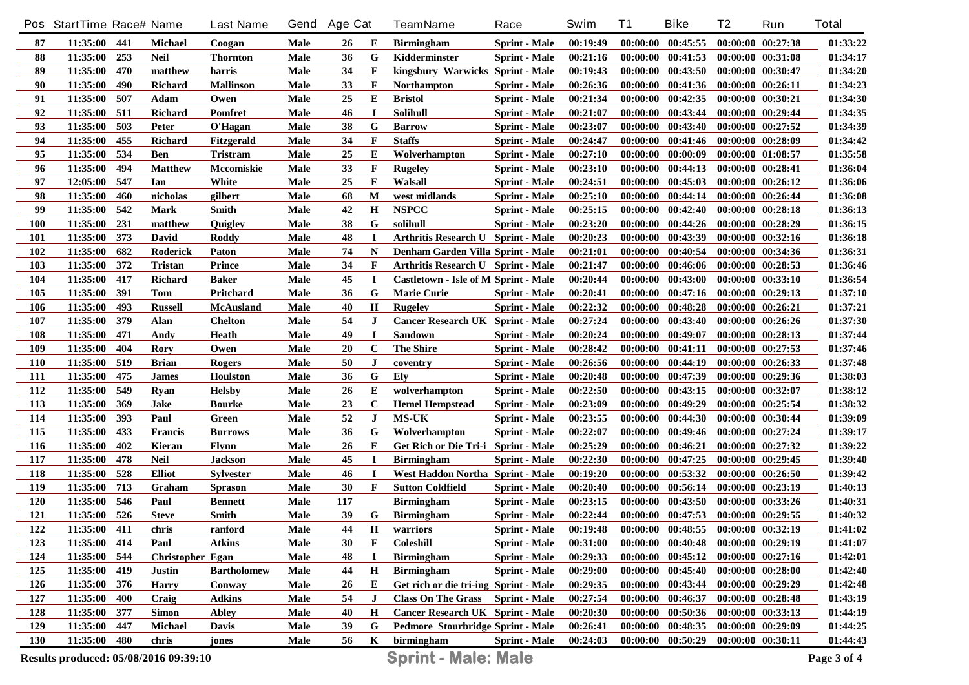|            | Pos StartTime Race# Name              |            |                          | <b>Last Name</b>               | Gend         | <b>Age Cat</b> |              | <b>TeamName</b>                                      | Race                 | Swim                 | <b>T1</b>            | <b>Bike</b>           | T <sub>2</sub>        | Run                                            | <b>Total</b>         |
|------------|---------------------------------------|------------|--------------------------|--------------------------------|--------------|----------------|--------------|------------------------------------------------------|----------------------|----------------------|----------------------|-----------------------|-----------------------|------------------------------------------------|----------------------|
| 87         | 11:35:00                              | 441        | <b>Michael</b>           | Coogan                         | Male         | 26             | Е            | <b>Birmingham</b>                                    | <b>Sprint</b> - Male | 00:19:49             |                      | $00:00:00$ $00:45:55$ | 00:00:00 00:27:38     |                                                | 01:33:22             |
| 88         | 11:35:00                              | 253        | <b>Neil</b>              | <b>Thornton</b>                | Male         | 36             | G            | Kidderminster                                        | <b>Sprint - Male</b> | 00:21:16             |                      | $00:00:00$ $00:41:53$ | 00:00:00 00:31:08     |                                                | 01:34:17             |
| 89         | 11:35:00                              | 470        | matthew                  | harris                         | Male         | 34             | $\mathbf F$  | kingsbury Warwicks Sprint - Male                     |                      | 00:19:43             |                      | $00:00:00$ $00:43:50$ | 00:00:00 00:30:47     |                                                | 01:34:20             |
| 90         | 11:35:00                              | 490        | Richard                  | <b>Mallinson</b>               | Male         | 33             | $\mathbf F$  | <b>Northampton</b>                                   | <b>Sprint</b> - Male | 00:26:36             |                      | 00:00:00 00:41:36     | 00:00:00 00:26:11     |                                                | 01:34:23             |
| 91         | 11:35:00                              | 507        | Adam                     | Owen                           | Male         | 25             | Е            | <b>Bristol</b>                                       | <b>Sprint - Male</b> | 00:21:34             |                      | $00:00:00$ $00:42:35$ | 00:00:00 00:30:21     |                                                | 01:34:30             |
| 92         | 11:35:00                              | 511        | Richard                  | Pomfret                        | Male         | 46             | $\mathbf I$  | <b>Solihull</b>                                      | <b>Sprint</b> - Male | 00:21:07             |                      | $00:00:00$ $00:43:44$ | 00:00:00 00:29:44     |                                                | 01:34:35             |
| 93         | 11:35:00                              | 503        | Peter                    | O'Hagan                        | Male         | 38             | G            | <b>Barrow</b>                                        | <b>Sprint - Male</b> | 00:23:07             |                      | $00:00:00$ $00:43:40$ | $00:00:00$ $00:27:52$ |                                                | 01:34:39             |
| 94         | 11:35:00                              | 455        | <b>Richard</b>           | Fitzgerald                     | Male         | 34             | $\mathbf{F}$ | <b>Staffs</b>                                        | <b>Sprint</b> - Male | 00:24:47             |                      | $00:00:00$ $00:41:46$ | 00:00:00 00:28:09     |                                                | 01:34:42             |
| 95         | 11:35:00                              | 534        | <b>Ben</b>               | Tristram                       | Male         | 25             | E            | Wolverhampton                                        | <b>Sprint - Male</b> | 00:27:10             |                      | $00:00:00$ $00:00:09$ | 00:00:00 01:08:57     |                                                | 01:35:58             |
| 96         | 11:35:00                              | 494        | <b>Matthew</b>           | Mccomiskie                     | <b>Male</b>  | 33             | F            | <b>Rugeley</b>                                       | <b>Sprint - Male</b> | 00:23:10             |                      | $00:00:00$ $00:44:13$ | 00:00:00 00:28:41     |                                                | 01:36:04             |
| 97         | 12:05:00                              | 547        | Ian                      | White                          | Male         | 25             | E            | Walsall                                              | <b>Sprint</b> - Male | 00:24:51             |                      | $00:00:00$ $00:45:03$ |                       | 00:00:00 00:26:12                              | 01:36:06             |
| 98         | 11:35:00                              | 460        | nicholas                 | gilbert                        | Male         | 68             | M            | west midlands                                        | <b>Sprint</b> - Male | 00:25:10             |                      | $00:00:00$ $00:44:14$ |                       | 00:00:00 00:26:44                              | 01:36:08             |
| 99         | 11:35:00                              | 542        | <b>Mark</b>              | <b>Smith</b>                   | Male         | 42             | H            | <b>NSPCC</b>                                         | <b>Sprint</b> - Male | 00:25:15             |                      | $00:00:00$ $00:42:40$ |                       | $00:00:00$ $00:28:18$                          | 01:36:13             |
| <b>100</b> | 11:35:00                              | 231        | matthew                  | Quigley                        | Male         | 38             | G            | solihull                                             | <b>Sprint</b> - Male | 00:23:20             |                      | $00:00:00$ $00:44:26$ | 00:00:00 00:28:29     |                                                | 01:36:15             |
| 101        | 11:35:00                              | 373        | <b>David</b>             | <b>Roddy</b>                   | Male         | 48             | <b>I</b>     | Arthritis Research U Sprint - Male                   |                      | 00:20:23             |                      | 00:00:00 00:43:39     |                       | 00:00:00 00:32:16                              | 01:36:18             |
| 102        | 11:35:00                              | 682        | <b>Roderick</b>          | Paton                          | Male         | 74             | N            | Denham Garden Villa Sprint - Male                    |                      | 00:21:01             |                      | $00:00:00$ $00:40:54$ |                       | 00:00:00 00:34:36                              | 01:36:31             |
| 103        | 11:35:00                              | 372        | <b>Tristan</b>           | <b>Prince</b>                  | Male         | 34             | $\mathbf{F}$ | <b>Arthritis Research U Sprint - Male</b>            |                      | 00:21:47             |                      | $00:00:00$ $00:46:06$ |                       | 00:00:00 00:28:53                              | 01:36:46             |
| 104        | 11:35:00                              | 417        | Richard                  | <b>Baker</b>                   | Male         | 45             | I            | Castletown - Isle of M Sprint - Male                 |                      | 00:20:44             |                      | 00:00:00 00:43:00     |                       | 00:00:00 00:33:10                              | 01:36:54             |
| 105        | 11:35:00                              | 391        | Tom                      | Pritchard                      | Male         | 36             | G            | <b>Marie Curie</b>                                   | <b>Sprint - Male</b> | 00:20:41             |                      | 00:00:00 00:47:16     |                       | 00:00:00 00:29:13                              | 01:37:10             |
| 106        | 11:35:00                              | 493        | <b>Russell</b>           | <b>McAusland</b>               | Male         | 40             | H            | <b>Rugeley</b>                                       | <b>Sprint</b> - Male | 00:22:32             | 00:00:00             | 00:48:28              | 00:00:00 00:26:21     |                                                | 01:37:21             |
| 107        | 11:35:00                              | 379        | Alan                     | <b>Chelton</b>                 | Male         | 54             | J            | <b>Cancer Research UK Sprint - Male</b>              |                      | 00:27:24             | 00:00:00             | 00:43:40              |                       | 00:00:00 00:26:26                              | 01:37:30             |
| 108        | 11:35:00                              | 471        | Andy                     | Heath                          | Male         | 49             | $\mathbf I$  | Sandown                                              | <b>Sprint</b> - Male | 00:20:24             |                      | $00:00:00$ $00:49:07$ |                       | 00:00:00 00:28:13                              | 01:37:44             |
| 109        | 11:35:00                              | 404        | <b>Rory</b>              | Owen                           | Male         | 20             | $\mathbf C$  | <b>The Shire</b>                                     | <b>Sprint - Male</b> | 00:28:42             |                      | 00:00:00 00:41:11     |                       | 00:00:00 00:27:53                              | 01:37:46             |
| <b>110</b> | 11:35:00                              | 519        | <b>Brian</b>             | Rogers                         | Male         | 50             | J            | coventry                                             | <b>Sprint</b> - Male | 00:26:56             |                      | 00:00:00 00:44:19     |                       | 00:00:00 00:26:33                              | 01:37:48             |
| 111        | 11:35:00                              | 475        | James                    | <b>Houlston</b>                | Male         | 36             | G            | Ely                                                  | <b>Sprint</b> - Male | 00:20:48             | 00:00:00             | 00:47:39              |                       | 00:00:00 00:29:36                              | 01:38:03             |
| 112        | 11:35:00                              | 549        | <b>Ryan</b>              | <b>Helsby</b>                  | Male         | 26             | Е            | wolverhampton                                        | <b>Sprint - Male</b> | 00:22:50             | 00:00:00             | 00:43:15              | 00:00:00 00:32:07     |                                                | 01:38:12             |
| 113        | 11:35:00                              | 369        | <b>Jake</b>              | <b>Bourke</b>                  | Male         | 23             | $\mathbf C$  | <b>Hemel Hempstead</b>                               | <b>Sprint</b> - Male | 00:23:09             | 00:00:00             | 00:49:29              |                       | 00:00:00 00:25:54                              | 01:38:32             |
| 114        | 11:35:00                              | 393        | Paul                     | Green                          | Male         | 52<br>36       | J<br>G       | <b>MS-UK</b>                                         | <b>Sprint</b> - Male | 00:23:55             | 00:00:00             | 00:44:30              |                       | 00:00:00 00:30:44                              | 01:39:09             |
| 115<br>116 | 11:35:00<br>11:35:00                  | 433<br>402 | <b>Francis</b><br>Kieran | <b>Burrows</b><br><b>Flynn</b> | Male<br>Male | 26             | E            | Wolverhampton<br>Get Rich or Die Tri-i Sprint - Male | <b>Sprint</b> - Male | 00:22:07<br>00:25:29 | 00:00:00<br>00:00:00 | 00:49:46<br>00:46:21  |                       | $00:00:00$ $00:27:24$<br>$00:00:00$ $00:27:32$ | 01:39:17<br>01:39:22 |
| 117        | 11:35:00                              | 478        | <b>Neil</b>              | Jackson                        | Male         | 45             | I            | <b>Birmingham</b>                                    | <b>Sprint - Male</b> | 00:22:30             | 00:00:00             | 00:47:25              |                       | 00:00:00 00:29:45                              | 01:39:40             |
| 118        | 11:35:00                              | 528        | <b>Elliot</b>            | Sylvester                      | Male         | 46             | $\bf I$      | West Haddon Northa Sprint - Male                     |                      | 00:19:20             | 00:00:00             | 00:53:32              |                       | 00:00:00 00:26:50                              | 01:39:42             |
| 119        | 11:35:00                              | 713        | Graham                   | <b>Sprason</b>                 | Male         | 30             | $\mathbf{F}$ | <b>Sutton Coldfield</b>                              | <b>Sprint</b> - Male | 00:20:40             | 00:00:00             | 00:56:14              |                       | 00:00:00 00:23:19                              | 01:40:13             |
| 120        | 11:35:00                              | 546        | Paul                     | <b>Bennett</b>                 | Male         | 117            |              | <b>Birmingham</b>                                    | <b>Sprint - Male</b> | 00:23:15             | 00:00:00             | 00:43:50              |                       | 00:00:00 00:33:26                              | 01:40:31             |
| 121        | 11:35:00                              | 526        | <b>Steve</b>             | Smith                          | Male         | 39             | G            | <b>Birmingham</b>                                    | <b>Sprint</b> - Male | 00:22:44             | 00:00:00             | 00:47:53              |                       | 00:00:00 00:29:55                              | 01:40:32             |
| 122        | 11:35:00                              | 411        | chris                    | ranford                        | Male         | 44             | $\mathbf H$  | warriors                                             | <b>Sprint - Male</b> | 00:19:48             |                      | $00:00:00$ $00:48:55$ | 00:00:00 00:32:19     |                                                | 01:41:02             |
| 123        | 11:35:00 414                          |            | Paul                     | <b>Atkins</b>                  | Male         | 30             | $\mathbf{F}$ | <b>Coleshill</b>                                     | <b>Sprint - Male</b> | 00:31:00             |                      | $00:00:00$ $00:40:48$ |                       | 00:00:00 00:29:19                              | 01:41:07             |
| 124        | 11:35:00                              | 544        | Christopher Egan         |                                | Male         | 48             | I            | <b>Birmingham</b>                                    | <b>Sprint - Male</b> | 00:29:33             |                      | $00:00:00$ $00:45:12$ |                       | 00:00:00 00:27:16                              | 01:42:01             |
| 125        | 11:35:00                              | 419        | <b>Justin</b>            | <b>Bartholomew</b>             | Male         | 44             | Н            | <b>Birmingham</b>                                    | <b>Sprint</b> - Male | 00:29:00             |                      | $00:00:00$ $00:45:40$ |                       | 00:00:00 00:28:00                              | 01:42:40             |
| 126        | 11:35:00                              | 376        | <b>Harry</b>             | Conway                         | Male         | 26             | Е            | Get rich or die tri-ing Sprint - Male                |                      | 00:29:35             |                      | 00:00:00 00:43:44     |                       | 00:00:00 00:29:29                              | 01:42:48             |
| 127        | 11:35:00                              | 400        | Craig                    | <b>Adkins</b>                  | Male         | 54             | J            | <b>Class On The Grass</b>                            | <b>Sprint - Male</b> | 00:27:54             |                      | 00:00:00 00:46:37     |                       | 00:00:00 00:28:48                              | 01:43:19             |
| 128        | 11:35:00                              | 377        | <b>Simon</b>             | <b>Abley</b>                   | Male         | 40             | H            | Cancer Research UK Sprint - Male                     |                      | 00:20:30             |                      | $00:00:00$ $00:50:36$ |                       | 00:00:00 00:33:13                              | 01:44:19             |
| 129        | 11:35:00                              | 447        | Michael                  | <b>Davis</b>                   | Male         | 39             | G            | Pedmore Stourbridge Sprint - Male                    |                      | 00:26:41             |                      | 00:00:00 00:48:35     |                       | 00:00:00 00:29:09                              | 01:44:25             |
| 130        | 11:35:00                              | 480        | chris                    | jones                          | Male         | 56             | $\mathbf K$  | birmingham                                           | <b>Sprint - Male</b> | 00:24:03             |                      | $00:00:00$ $00:50:29$ | 00:00:00 00:30:11     |                                                | 01:44:43             |
|            | Results produced: 05/08/2016 09:39:10 |            |                          |                                |              |                |              | <b>Sprint - Male: Male</b>                           |                      |                      |                      |                       |                       |                                                | Page 3 of 4          |
|            |                                       |            |                          |                                |              |                |              |                                                      |                      |                      |                      |                       |                       |                                                |                      |